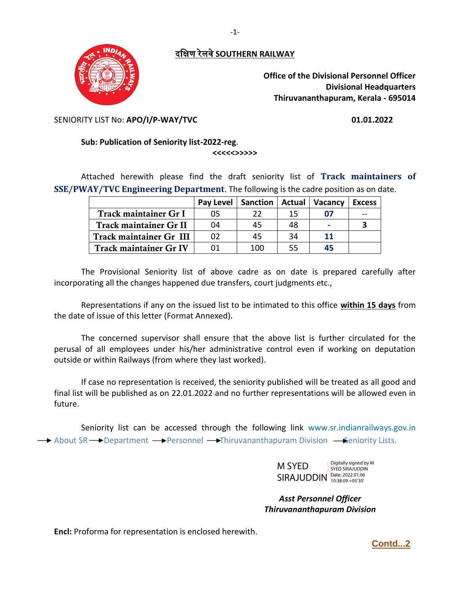दक्षिण रेलवे**SOUTHERN RAILWAY**

-1-



**Office of the Divisional Personnel Officer Divisional Headquarters Thiruvananthapuram, Kerala - 695014** 

SENIORITY LIST No: **APO/I/P-WAY/TVC 01.01.2022**

## **Sub: Publication of Seniority list-2022-reg**.

**<<<<<>>>>>**

Attached herewith please find the draft seniority list of **Track maintainers of SSE/PWAY/TVC Engineering Department**. The following is the cadre position as on date.

|                               | Pay Level | <b>Sanction</b> | Actual | <b>Vacancy</b> | <b>Excess</b> |
|-------------------------------|-----------|-----------------|--------|----------------|---------------|
| Track maintainer Gr I         | 05        | つつ              | 15     | 07             |               |
| Track maintainer Gr II        | 04        | 45              | 48     | -              |               |
| Track maintainer Gr III       | 02        | 45              | 34     | 11             |               |
| <b>Track maintainer Gr IV</b> | 01        | 100             | 55     | 45             |               |

The Provisional Seniority list of above cadre as on date is prepared carefully after incorporating all the changes happened due transfers, court judgments etc.,

Representations if any on the issued list to be intimated to this office **within 15 days** from the date of issue of this letter (Format Annexed).

The concerned supervisor shall ensure that the above list is further circulated for the perusal of all employees under his/her administrative control even if working on deputation outside or within Railways (from where they last worked).

If case no representation is received, the seniority published will be treated as all good and final list will be published as on 22.01.2022 and no further representations will be allowed even in future.

Seniority list can be accessed through the following link www.sr.indianrailways.gov.in  $\rightarrow$  About SR  $\rightarrow$  Department  $\rightarrow$  Personnel  $\rightarrow$  Thiruvananthapuram Division  $\rightarrow$  Seniority Lists.

> M SYED SIRAJUDDIN Date: 2022.01.06 Digitally signed by M SYED SIRAJUDDIN

*Asst Personnel Officer Thiruvananthapuram Division*

**Encl:** Proforma for representation is enclosed herewith.

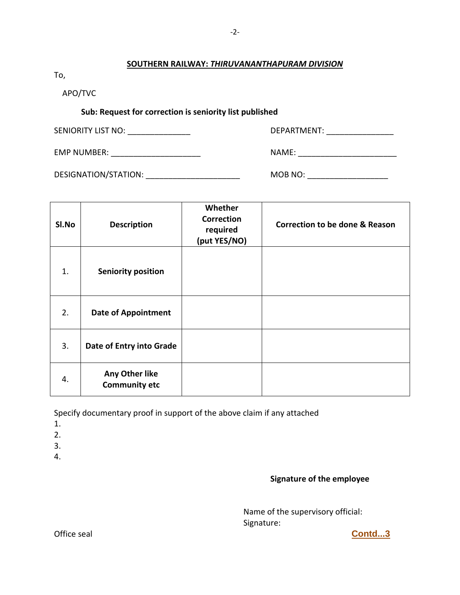## **SOUTHERN RAILWAY:** *THIRUVANANTHAPURAM DIVISION*

-2-

To,

APO/TVC

## **Sub: Request for correction is seniority list published**

| SENIORITY LIST NO:   | DEPARTMENT: |
|----------------------|-------------|
| <b>EMP NUMBER:</b>   | NAME:       |
| DESIGNATION/STATION: | MOB NO:     |

| SI.No | <b>Description</b>                     | Whether<br><b>Correction</b><br>required<br>(put YES/NO) | Correction to be done & Reason |
|-------|----------------------------------------|----------------------------------------------------------|--------------------------------|
| 1.    | <b>Seniority position</b>              |                                                          |                                |
| 2.    | <b>Date of Appointment</b>             |                                                          |                                |
| 3.    | Date of Entry into Grade               |                                                          |                                |
| 4.    | Any Other like<br><b>Community etc</b> |                                                          |                                |

Specify documentary proof in support of the above claim if any attached

- 1.
- 2.
- 3.
- 4.

## **Signature of the employee**

Name of the supervisory official: Signature:

Office seal **Contd...3**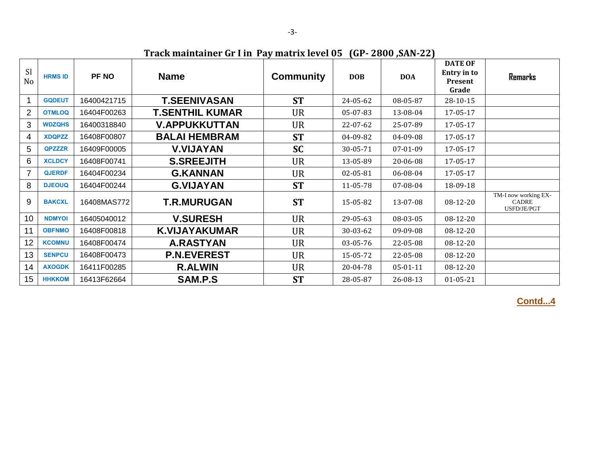**Track maintainer Gr I in Pay matrix level 05 (GP- 2800 ,SAN-22)**

| <b>Sl</b><br>N <sub>o</sub> | <b>HRMS ID</b> | <b>PF NO</b> | <b>Name</b>            | <b>Community</b> | <b>DOB</b> | <b>DOA</b>     | <b>DATE OF</b><br><b>Entry in to</b><br>Present<br>Grade | <b>Remarks</b>                                      |
|-----------------------------|----------------|--------------|------------------------|------------------|------------|----------------|----------------------------------------------------------|-----------------------------------------------------|
|                             | <b>GQDEUT</b>  | 16400421715  | <b>T.SEENIVASAN</b>    | <b>ST</b>        | 24-05-62   | 08-05-87       | 28-10-15                                                 |                                                     |
| $\overline{2}$              | <b>OTMLOQ</b>  | 16404F00263  | <b>T.SENTHIL KUMAR</b> | <b>UR</b>        | 05-07-83   | 13-08-04       | 17-05-17                                                 |                                                     |
| 3                           | <b>WDZQHS</b>  | 16400318840  | <b>V.APPUKKUTTAN</b>   | <b>UR</b>        | 22-07-62   | 25-07-89       | 17-05-17                                                 |                                                     |
| $\overline{4}$              | <b>XDQPZZ</b>  | 16408F00807  | <b>BALAI HEMBRAM</b>   | <b>ST</b>        | 04-09-82   | 04-09-08       | 17-05-17                                                 |                                                     |
| 5                           | <b>QPZZZR</b>  | 16409F00005  | <b>V.VIJAYAN</b>       | <b>SC</b>        | 30-05-71   | 07-01-09       | 17-05-17                                                 |                                                     |
| 6                           | <b>XCLDCY</b>  | 16408F00741  | <b>S.SREEJITH</b>      | <b>UR</b>        | 13-05-89   | 20-06-08       | 17-05-17                                                 |                                                     |
| $\overline{7}$              | <b>QJERDF</b>  | 16404F00234  | <b>G.KANNAN</b>        | <b>UR</b>        | 02-05-81   | 06-08-04       | 17-05-17                                                 |                                                     |
| 8                           | <b>DJEOUQ</b>  | 16404F00244  | <b>G.VIJAYAN</b>       | <b>ST</b>        | 11-05-78   | 07-08-04       | 18-09-18                                                 |                                                     |
| 9                           | <b>BAKCXL</b>  | 16408MAS772  | <b>T.R.MURUGAN</b>     | <b>ST</b>        | 15-05-82   | 13-07-08       | 08-12-20                                                 | TM-I now working EX-<br><b>CADRE</b><br>USFD/JE/PGT |
| 10                          | <b>NDMYOI</b>  | 16405040012  | <b>V.SURESH</b>        | <b>UR</b>        | 29-05-63   | 08-03-05       | $08-12-20$                                               |                                                     |
| 11                          | <b>OBFNMO</b>  | 16408F00818  | <b>K.VIJAYAKUMAR</b>   | <b>UR</b>        | 30-03-62   | 09-09-08       | 08-12-20                                                 |                                                     |
| 12                          | <b>KCOMNU</b>  | 16408F00474  | <b>A.RASTYAN</b>       | <b>UR</b>        | 03-05-76   | 22-05-08       | 08-12-20                                                 |                                                     |
| 13                          | <b>SENPCU</b>  | 16408F00473  | <b>P.N.EVEREST</b>     | <b>UR</b>        | 15-05-72   | 22-05-08       | 08-12-20                                                 |                                                     |
| 14                          | <b>AXOGDK</b>  | 16411F00285  | <b>R.ALWIN</b>         | <b>UR</b>        | 20-04-78   | $05 - 01 - 11$ | 08-12-20                                                 |                                                     |
| 15                          | <b>HHKKOM</b>  | 16413F62664  | SAM.P.S                | <b>ST</b>        | 28-05-87   | 26-08-13       | $01 - 05 - 21$                                           |                                                     |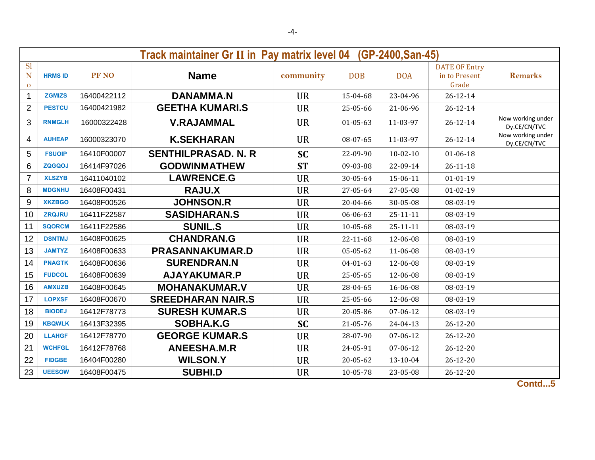|                                | Track maintainer Gr II in Pay matrix level 04<br>(GP-2400, San-45) |             |                             |           |                |                |                                                |                                   |  |  |  |
|--------------------------------|--------------------------------------------------------------------|-------------|-----------------------------|-----------|----------------|----------------|------------------------------------------------|-----------------------------------|--|--|--|
| <b>Sl</b><br>N<br>$\mathbf{o}$ | <b>HRMS ID</b>                                                     | PF NO       | <b>Name</b>                 | community | <b>DOB</b>     | <b>DOA</b>     | <b>DATE OF Entry</b><br>in to Present<br>Grade | <b>Remarks</b>                    |  |  |  |
| 1                              | <b>ZGMIZS</b>                                                      | 16400422112 | <b>DANAMMA.N</b>            | <b>UR</b> | 15-04-68       | 23-04-96       | $26 - 12 - 14$                                 |                                   |  |  |  |
| $\overline{2}$                 | <b>PESTCU</b>                                                      | 16400421982 | <b>GEETHA KUMARI.S</b>      | <b>UR</b> | 25-05-66       | 21-06-96       | $26 - 12 - 14$                                 |                                   |  |  |  |
| 3                              | <b>RNMGLH</b>                                                      | 16000322428 | <b>V.RAJAMMAL</b>           | <b>UR</b> | $01 - 05 - 63$ | 11-03-97       | $26 - 12 - 14$                                 | Now working under<br>Dy.CE/CN/TVC |  |  |  |
| 4                              | <b>AUHEAP</b>                                                      | 16000323070 | <b>K.SEKHARAN</b>           | <b>UR</b> | 08-07-65       | 11-03-97       | 26-12-14                                       | Now working under<br>Dy.CE/CN/TVC |  |  |  |
| 5                              | <b>FSUOIP</b>                                                      | 16410F00007 | <b>SENTHILPRASAD, N. R.</b> | <b>SC</b> | 22-09-90       | $10 - 02 - 10$ | $01 - 06 - 18$                                 |                                   |  |  |  |
| 6                              | <b>ZQGQOJ</b>                                                      | 16414F97026 | <b>GODWINMATHEW</b>         | <b>ST</b> | 09-03-88       | 22-09-14       | $26 - 11 - 18$                                 |                                   |  |  |  |
| $\overline{7}$                 | <b>XLSZYB</b>                                                      | 16411040102 | <b>LAWRENCE.G</b>           | <b>UR</b> | 30-05-64       | 15-06-11       | $01 - 01 - 19$                                 |                                   |  |  |  |
| 8                              | <b>MDGNHU</b>                                                      | 16408F00431 | <b>RAJU.X</b>               | <b>UR</b> | 27-05-64       | 27-05-08       | $01 - 02 - 19$                                 |                                   |  |  |  |
| 9                              | <b>XKZBGO</b>                                                      | 16408F00526 | <b>JOHNSON.R</b>            | <b>UR</b> | 20-04-66       | 30-05-08       | 08-03-19                                       |                                   |  |  |  |
| 10                             | <b>ZRQJRU</b>                                                      | 16411F22587 | <b>SASIDHARAN.S</b>         | <b>UR</b> | 06-06-63       | $25 - 11 - 11$ | 08-03-19                                       |                                   |  |  |  |
| 11                             | <b>SQORCM</b>                                                      | 16411F22586 | <b>SUNIL.S</b>              | <b>UR</b> | 10-05-68       | $25 - 11 - 11$ | 08-03-19                                       |                                   |  |  |  |
| 12                             | <b>DSNTMJ</b>                                                      | 16408F00625 | <b>CHANDRAN.G</b>           | <b>UR</b> | 22-11-68       | 12-06-08       | 08-03-19                                       |                                   |  |  |  |
| 13                             | <b>JAMTYZ</b>                                                      | 16408F00633 | <b>PRASANNAKUMAR.D</b>      | <b>UR</b> | 05-05-62       | 11-06-08       | 08-03-19                                       |                                   |  |  |  |
| 14                             | <b>PNAGTK</b>                                                      | 16408F00636 | <b>SURENDRAN.N</b>          | <b>UR</b> | $04 - 01 - 63$ | 12-06-08       | 08-03-19                                       |                                   |  |  |  |
| 15                             | <b>FUDCOL</b>                                                      | 16408F00639 | AJAYAKUMAR.P                | <b>UR</b> | 25-05-65       | 12-06-08       | 08-03-19                                       |                                   |  |  |  |
| 16                             | <b>AMXUZB</b>                                                      | 16408F00645 | <b>MOHANAKUMAR.V</b>        | <b>UR</b> | 28-04-65       | 16-06-08       | 08-03-19                                       |                                   |  |  |  |
| 17                             | <b>LOPXSF</b>                                                      | 16408F00670 | <b>SREEDHARAN NAIR.S</b>    | <b>UR</b> | 25-05-66       | 12-06-08       | 08-03-19                                       |                                   |  |  |  |
| 18                             | <b>BIODEJ</b>                                                      | 16412F78773 | <b>SURESH KUMAR.S</b>       | <b>UR</b> | 20-05-86       | 07-06-12       | 08-03-19                                       |                                   |  |  |  |
| 19                             | <b>KBQWLK</b>                                                      | 16413F32395 | SOBHA.K.G                   | <b>SC</b> | 21-05-76       | $24 - 04 - 13$ | $26 - 12 - 20$                                 |                                   |  |  |  |
| 20                             | <b>LLAHGF</b>                                                      | 16412F78770 | <b>GEORGE KUMAR.S</b>       | <b>UR</b> | 28-07-90       | 07-06-12       | $26 - 12 - 20$                                 |                                   |  |  |  |
| 21                             | <b>WCHFGL</b>                                                      | 16412F78768 | <b>ANEESHA.M.R</b>          | <b>UR</b> | 24-05-91       | 07-06-12       | $26 - 12 - 20$                                 |                                   |  |  |  |
| 22                             | <b>FIDGBE</b>                                                      | 16404F00280 | <b>WILSON.Y</b>             | <b>UR</b> | 20-05-62       | 13-10-04       | $26 - 12 - 20$                                 |                                   |  |  |  |
| 23                             | <b>UEESOW</b>                                                      | 16408F00475 | <b>SUBHI.D</b>              | <b>UR</b> | 10-05-78       | 23-05-08       | $26 - 12 - 20$                                 |                                   |  |  |  |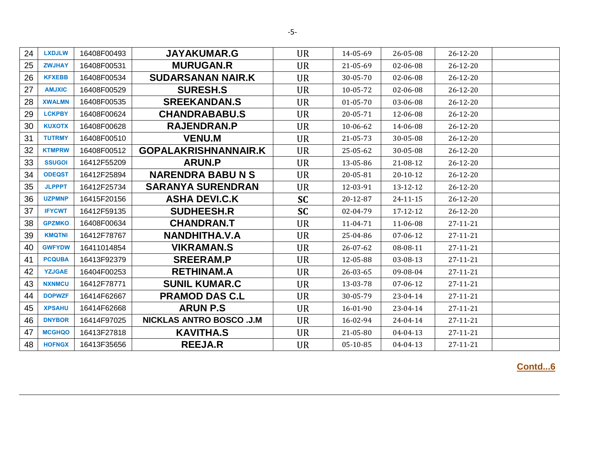| <b>LXDJLW</b> | 16408F00493 | <b>JAYAKUMAR.G</b>              | <b>UR</b> | 14-05-69       | 26-05-08       | $26 - 12 - 20$ |  |
|---------------|-------------|---------------------------------|-----------|----------------|----------------|----------------|--|
| <b>ZWJHAY</b> | 16408F00531 | <b>MURUGAN.R</b>                | <b>UR</b> | 21-05-69       | 02-06-08       | 26-12-20       |  |
| <b>KFXEBB</b> | 16408F00534 | <b>SUDARSANAN NAIR.K</b>        | <b>UR</b> | 30-05-70       | 02-06-08       | $26 - 12 - 20$ |  |
| <b>AMJXIC</b> | 16408F00529 | <b>SURESH.S</b>                 | <b>UR</b> | 10-05-72       | 02-06-08       | $26 - 12 - 20$ |  |
| <b>XWALMN</b> | 16408F00535 | <b>SREEKANDAN.S</b>             | <b>UR</b> | $01 - 05 - 70$ | 03-06-08       | $26 - 12 - 20$ |  |
| <b>LCKPBY</b> | 16408F00624 | <b>CHANDRABABU.S</b>            | <b>UR</b> | 20-05-71       | 12-06-08       | $26 - 12 - 20$ |  |
| <b>KUXOTX</b> | 16408F00628 | <b>RAJENDRAN.P</b>              | <b>UR</b> | 10-06-62       | 14-06-08       | $26 - 12 - 20$ |  |
| <b>TUTRMY</b> | 16408F00510 | <b>VENU.M</b>                   | <b>UR</b> | 21-05-73       | 30-05-08       | $26 - 12 - 20$ |  |
| <b>KTMPRW</b> | 16408F00512 | <b>GOPALAKRISHNANNAIR.K</b>     | <b>UR</b> | 25-05-62       | 30-05-08       | $26 - 12 - 20$ |  |
| <b>SSUGOI</b> | 16412F55209 | <b>ARUN.P</b>                   | <b>UR</b> | 13-05-86       | 21-08-12       | $26 - 12 - 20$ |  |
| <b>ODEQST</b> | 16412F25894 | <b>NARENDRA BABU N S</b>        | <b>UR</b> | 20-05-81       | $20 - 10 - 12$ | $26 - 12 - 20$ |  |
| <b>JLPPPT</b> | 16412F25734 | <b>SARANYA SURENDRAN</b>        | <b>UR</b> | 12-03-91       | 13-12-12       | 26-12-20       |  |
| <b>UZPMNP</b> | 16415F20156 | <b>ASHA DEVI.C.K</b>            | <b>SC</b> | 20-12-87       | $24 - 11 - 15$ | $26 - 12 - 20$ |  |
| <b>IFYCWT</b> | 16412F59135 | <b>SUDHEESH.R</b>               | <b>SC</b> | 02-04-79       | 17-12-12       | 26-12-20       |  |
| <b>GPZMKO</b> | 16408F00634 | <b>CHANDRAN.T</b>               | <b>UR</b> | 11-04-71       | 11-06-08       | 27-11-21       |  |
| <b>KMQTNI</b> | 16412F78767 | <b>NANDHITHA.V.A</b>            | <b>UR</b> | 25-04-86       | 07-06-12       | 27-11-21       |  |
| <b>GWFYDW</b> | 16411014854 | <b>VIKRAMAN.S</b>               | <b>UR</b> | 26-07-62       | 08-08-11       | 27-11-21       |  |
| <b>PCQUBA</b> | 16413F92379 | <b>SREERAM.P</b>                | <b>UR</b> | 12-05-88       | 03-08-13       | 27-11-21       |  |
| <b>YZJGAE</b> | 16404F00253 | <b>RETHINAM.A</b>               | <b>UR</b> | 26-03-65       | 09-08-04       | 27-11-21       |  |
| <b>NXNMCU</b> | 16412F78771 | <b>SUNIL KUMAR.C</b>            | <b>UR</b> | 13-03-78       | 07-06-12       | 27-11-21       |  |
| <b>DOPWZF</b> | 16414F62667 | <b>PRAMOD DAS C.L</b>           | <b>UR</b> | 30-05-79       | 23-04-14       | 27-11-21       |  |
| <b>XPSAHU</b> | 16414F62668 | <b>ARUN P.S</b>                 | <b>UR</b> | 16-01-90       | 23-04-14       | 27-11-21       |  |
| <b>DNYBOR</b> | 16414F97025 | <b>NICKLAS ANTRO BOSCO .J.M</b> | <b>UR</b> | 16-02-94       | 24-04-14       | 27-11-21       |  |
| <b>MCGHQO</b> | 16413F27818 | <b>KAVITHA.S</b>                | <b>UR</b> | 21-05-80       | 04-04-13       | 27-11-21       |  |
| <b>HOFNGX</b> | 16413F35656 | <b>REEJA.R</b>                  | <b>UR</b> | 05-10-85       | 04-04-13       | 27-11-21       |  |
|               |             |                                 |           |                |                |                |  |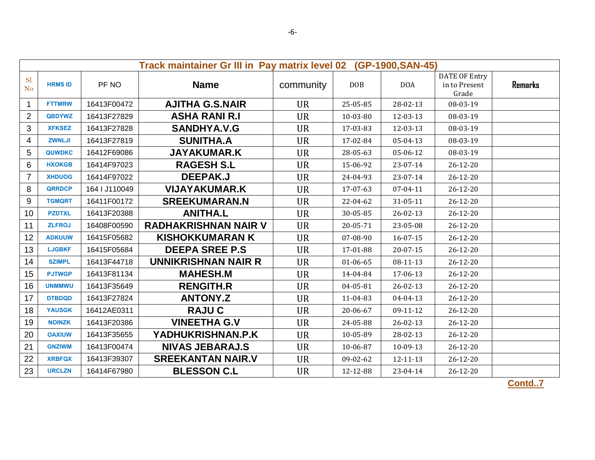|                             | Track maintainer Gr III in Pay matrix level 02<br>(GP-1900, SAN-45) |               |                             |           |                |                |                                                |                |  |  |
|-----------------------------|---------------------------------------------------------------------|---------------|-----------------------------|-----------|----------------|----------------|------------------------------------------------|----------------|--|--|
| <b>Sl</b><br>N <sub>o</sub> | <b>HRMS ID</b>                                                      | PF NO         | <b>Name</b>                 | community | <b>DOB</b>     | <b>DOA</b>     | <b>DATE OF Entry</b><br>in to Present<br>Grade | <b>Remarks</b> |  |  |
| $\mathbf{1}$                | <b>FTTMRW</b>                                                       | 16413F00472   | <b>AJITHA G.S.NAIR</b>      | <b>UR</b> | 25-05-85       | 28-02-13       | 08-03-19                                       |                |  |  |
| $\overline{2}$              | <b>QBDYWZ</b>                                                       | 16413F27829   | <b>ASHA RANI R.I</b>        | <b>UR</b> | 10-03-80       | 12-03-13       | 08-03-19                                       |                |  |  |
| 3                           | <b>XFKSEZ</b>                                                       | 16413F27828   | <b>SANDHYA.V.G</b>          | <b>UR</b> | 17-03-83       | 12-03-13       | 08-03-19                                       |                |  |  |
| 4                           | <b>ZWNLJI</b>                                                       | 16413F27819   | <b>SUNITHA.A</b>            | <b>UR</b> | 17-02-84       | 05-04-13       | 08-03-19                                       |                |  |  |
| 5                           | <b>QUWDKC</b>                                                       | 16412F69086   | <b>JAYAKUMAR.K</b>          | <b>UR</b> | 28-05-63       | 05-06-12       | 08-03-19                                       |                |  |  |
| 6                           | <b>HXOKGB</b>                                                       | 16414F97023   | <b>RAGESH S.L</b>           | <b>UR</b> | 15-06-92       | 23-07-14       | $26 - 12 - 20$                                 |                |  |  |
| $\overline{7}$              | <b>XHDUOG</b>                                                       | 16414F97022   | DEEPAK.J                    | <b>UR</b> | 24-04-93       | 23-07-14       | $26 - 12 - 20$                                 |                |  |  |
| 8                           | <b>QRRDCP</b>                                                       | 164   J110049 | <b>VIJAYAKUMAR.K</b>        | <b>UR</b> | 17-07-63       | $07 - 04 - 11$ | $26 - 12 - 20$                                 |                |  |  |
| 9                           | <b>TGMQRT</b>                                                       | 16411F00172   | <b>SREEKUMARAN.N</b>        | <b>UR</b> | 22-04-62       | 31-05-11       | $26 - 12 - 20$                                 |                |  |  |
| 10                          | <b>PZDTXL</b>                                                       | 16413F20388   | <b>ANITHA.L</b>             | <b>UR</b> | 30-05-85       | $26 - 02 - 13$ | $26 - 12 - 20$                                 |                |  |  |
| 11                          | <b>ZLFROJ</b>                                                       | 16408F00590   | <b>RADHAKRISHNAN NAIR V</b> | <b>UR</b> | 20-05-71       | 23-05-08       | $26 - 12 - 20$                                 |                |  |  |
| 12                          | <b>ADKUUW</b>                                                       | 16415F05682   | <b>KISHOKKUMARAN K</b>      | <b>UR</b> | 07-08-90       | $16 - 07 - 15$ | $26 - 12 - 20$                                 |                |  |  |
| 13                          | <b>LJGBKF</b>                                                       | 16415F05684   | <b>DEEPA SREE P.S</b>       | <b>UR</b> | 17-01-88       | $20 - 07 - 15$ | $26 - 12 - 20$                                 |                |  |  |
| 14                          | <b>SZIMPL</b>                                                       | 16413F44718   | <b>UNNIKRISHNAN NAIR R</b>  | <b>UR</b> | $01 - 06 - 65$ | 08-11-13       | $26 - 12 - 20$                                 |                |  |  |
| 15                          | <b>PJTWGP</b>                                                       | 16413F81134   | <b>MAHESH.M</b>             | <b>UR</b> | 14-04-84       | 17-06-13       | $26 - 12 - 20$                                 |                |  |  |
| 16                          | <b>UNMMWU</b>                                                       | 16413F35649   | <b>RENGITH.R</b>            | <b>UR</b> | 04-05-81       | $26 - 02 - 13$ | $26 - 12 - 20$                                 |                |  |  |
| 17                          | <b>DTBDQD</b>                                                       | 16413F27824   | <b>ANTONY.Z</b>             | <b>UR</b> | 11-04-83       | $04 - 04 - 13$ | $26 - 12 - 20$                                 |                |  |  |
| 18                          | <b>YAUSGK</b>                                                       | 16412AE0311   | <b>RAJUC</b>                | <b>UR</b> | 20-06-67       | 09-11-12       | $26 - 12 - 20$                                 |                |  |  |
| 19                          | <b>NOINZK</b>                                                       | 16413F20386   | <b>VINEETHA G.V</b>         | <b>UR</b> | 24-05-88       | $26 - 02 - 13$ | $26 - 12 - 20$                                 |                |  |  |
| 20                          | <b>OAXIUW</b>                                                       | 16413F35655   | YADHUKRISHNAN.P.K           | <b>UR</b> | 10-05-89       | 28-02-13       | $26 - 12 - 20$                                 |                |  |  |
| 21                          | <b>GNZIWM</b>                                                       | 16413F00474   | <b>NIVAS JEBARAJ.S</b>      | <b>UR</b> | 10-06-87       | 10-09-13       | $26 - 12 - 20$                                 |                |  |  |
| 22                          | <b>XRBFQX</b>                                                       | 16413F39307   | <b>SREEKANTAN NAIR.V</b>    | <b>UR</b> | 09-02-62       | 12-11-13       | 26-12-20                                       |                |  |  |
| 23                          | <b>URCLZN</b>                                                       | 16414F67980   | <b>BLESSON C.L</b>          | <b>UR</b> | 12-12-88       | 23-04-14       | 26-12-20                                       |                |  |  |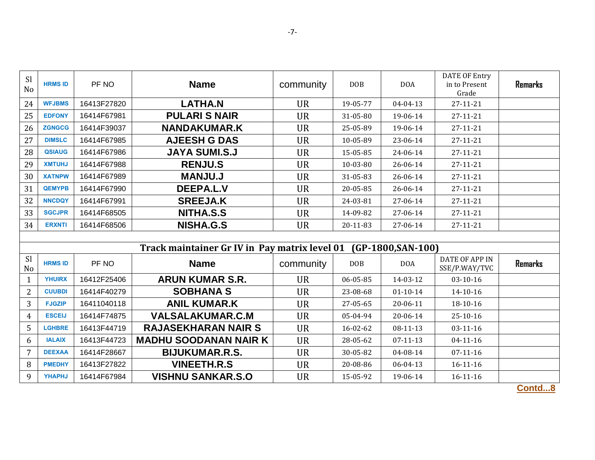| <b>Sl</b><br>N <sub>o</sub> | <b>HRMS ID</b> | PF NO       | <b>Name</b>                                   | community | <b>DOB</b> | <b>DOA</b>          | DATE OF Entry<br>in to Present<br>Grade | <b>Remarks</b> |
|-----------------------------|----------------|-------------|-----------------------------------------------|-----------|------------|---------------------|-----------------------------------------|----------------|
| 24                          | <b>WFJBMS</b>  | 16413F27820 | <b>LATHA.N</b>                                | <b>UR</b> | 19-05-77   | $04 - 04 - 13$      | 27-11-21                                |                |
| 25                          | <b>EDFONY</b>  | 16414F67981 | <b>PULARI S NAIR</b>                          | <b>UR</b> | 31-05-80   | 19-06-14            | 27-11-21                                |                |
| 26                          | <b>ZGNGCG</b>  | 16414F39037 | <b>NANDAKUMAR.K</b>                           | <b>UR</b> | 25-05-89   | 19-06-14            | 27-11-21                                |                |
| 27                          | <b>DIMSLC</b>  | 16414F67985 | <b>AJEESH G DAS</b>                           | <b>UR</b> | 10-05-89   | 23-06-14            | 27-11-21                                |                |
| 28                          | <b>QSIAUG</b>  | 16414F67986 | <b>JAYA SUMI.S.J</b>                          | <b>UR</b> | 15-05-85   | 24-06-14            | 27-11-21                                |                |
| 29                          | <b>XMTUHJ</b>  | 16414F67988 | <b>RENJU.S</b>                                | <b>UR</b> | 10-03-80   | 26-06-14            | 27-11-21                                |                |
| 30                          | <b>XATNPW</b>  | 16414F67989 | <b>MANJU.J</b>                                | <b>UR</b> | 31-05-83   | 26-06-14            | 27-11-21                                |                |
| 31                          | <b>QEMYPB</b>  | 16414F67990 | <b>DEEPA.L.V</b>                              | <b>UR</b> | 20-05-85   | 26-06-14            | 27-11-21                                |                |
| 32                          | <b>NNCDQY</b>  | 16414F67991 | <b>SREEJA.K</b>                               | <b>UR</b> | 24-03-81   | 27-06-14            | 27-11-21                                |                |
| 33                          | <b>SGCJPR</b>  | 16414F68505 | NITHA.S.S                                     | <b>UR</b> | 14-09-82   | 27-06-14            | 27-11-21                                |                |
| 34                          | <b>ERXNTI</b>  | 16414F68506 | NISHA.G.S                                     | <b>UR</b> | 20-11-83   | 27-06-14            | 27-11-21                                |                |
|                             |                |             |                                               |           |            |                     |                                         |                |
|                             |                |             | Track maintainer Gr IV in Pay matrix level 01 |           |            | $(GP-1800,SAN-100)$ |                                         |                |
| <b>Sl</b><br>N <sub>o</sub> | <b>HRMS ID</b> | PF NO       | <b>Name</b>                                   | community | <b>DOB</b> | <b>DOA</b>          | DATE OF APP IN<br>SSE/P.WAY/TVC         | <b>Remarks</b> |
| 1                           | <b>YHUIRX</b>  | 16412F25406 | <b>ARUN KUMAR S.R.</b>                        | <b>UR</b> | 06-05-85   | 14-03-12            | $03 - 10 - 16$                          |                |
| $\overline{2}$              | <b>CUUBDI</b>  | 16414F40279 | <b>SOBHANA S</b>                              | <b>UR</b> | 23-08-68   | $01 - 10 - 14$      | 14-10-16                                |                |
| 3                           | <b>FJGZIP</b>  | 16411040118 | <b>ANIL KUMAR.K</b>                           | <b>UR</b> | 27-05-65   | 20-06-11            | 18-10-16                                |                |
| 4                           | <b>ESCEIJ</b>  | 16414F74875 | <b>VALSALAKUMAR.C.M</b>                       | <b>UR</b> | 05-04-94   | 20-06-14            | $25 - 10 - 16$                          |                |
| 5                           | <b>LGHBRE</b>  | 16413F44719 | <b>RAJASEKHARAN NAIR S</b>                    | <b>UR</b> | 16-02-62   | 08-11-13            | $03-11-16$                              |                |
| 6                           | <b>IALAIX</b>  | 16413F44723 | <b>MADHU SOODANAN NAIR K</b>                  | <b>UR</b> | 28-05-62   | $07 - 11 - 13$      | $04 - 11 - 16$                          |                |
| $\overline{7}$              | <b>DEEXAA</b>  | 16414F28667 | <b>BIJUKUMAR.R.S.</b>                         | <b>UR</b> | 30-05-82   | 04-08-14            | $07 - 11 - 16$                          |                |
| 8                           | <b>PMEDHY</b>  | 16413F27822 | <b>VINEETH.R.S</b>                            | <b>UR</b> | 20-08-86   | 06-04-13            | $16 - 11 - 16$                          |                |

9 **YHAPHJ** 16414F67984 **VISHNU SANKAR.S.O** UR 15-05-92 19-06-14 16-11-16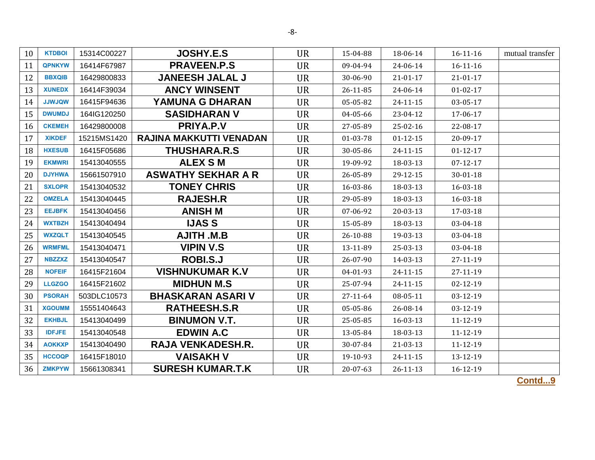| 10 | <b>KTDBOI</b> | 15314C00227 | <b>JOSHY.E.S</b>          | <b>UR</b> | 15-04-88 | 18-06-14       | $16-11-16$     | mutual transfer |
|----|---------------|-------------|---------------------------|-----------|----------|----------------|----------------|-----------------|
| 11 | <b>QPNKYW</b> | 16414F67987 | <b>PRAVEEN.P.S</b>        | <b>UR</b> | 09-04-94 | 24-06-14       | $16 - 11 - 16$ |                 |
| 12 | <b>BBXQIB</b> | 16429800833 | <b>JANEESH JALAL J</b>    | <b>UR</b> | 30-06-90 | $21 - 01 - 17$ | $21 - 01 - 17$ |                 |
| 13 | <b>XUNEDX</b> | 16414F39034 | <b>ANCY WINSENT</b>       | <b>UR</b> | 26-11-85 | 24-06-14       | $01 - 02 - 17$ |                 |
| 14 | <b>UJWJQW</b> | 16415F94636 | YAMUNA G DHARAN           | <b>UR</b> | 05-05-82 | $24 - 11 - 15$ | 03-05-17       |                 |
| 15 | <b>DWUMDJ</b> | 164IG120250 | <b>SASIDHARAN V</b>       | <b>UR</b> | 04-05-66 | 23-04-12       | 17-06-17       |                 |
| 16 | <b>CKEMEH</b> | 16429800008 | PRIYA.P.V                 | <b>UR</b> | 27-05-89 | 25-02-16       | 22-08-17       |                 |
| 17 | <b>XIKDEF</b> | 15215MS1420 | RAJINA MAKKUTTI VENADAN   | <b>UR</b> | 01-03-78 | $01 - 12 - 15$ | 20-09-17       |                 |
| 18 | <b>HXESUB</b> | 16415F05686 | <b>THUSHARA.R.S</b>       | <b>UR</b> | 30-05-86 | $24 - 11 - 15$ | $01 - 12 - 17$ |                 |
| 19 | <b>EKMWRI</b> | 15413040555 | <b>ALEX SM</b>            | <b>UR</b> | 19-09-92 | 18-03-13       | $07 - 12 - 17$ |                 |
| 20 | <b>DJYHWA</b> | 15661507910 | <b>ASWATHY SEKHAR A R</b> | <b>UR</b> | 26-05-89 | 29-12-15       | $30 - 01 - 18$ |                 |
| 21 | <b>SXLOPR</b> | 15413040532 | <b>TONEY CHRIS</b>        | <b>UR</b> | 16-03-86 | 18-03-13       | 16-03-18       |                 |
| 22 | <b>OMZELA</b> | 15413040445 | <b>RAJESH.R</b>           | <b>UR</b> | 29-05-89 | 18-03-13       | 16-03-18       |                 |
| 23 | <b>EEJBFK</b> | 15413040456 | <b>ANISH M</b>            | <b>UR</b> | 07-06-92 | 20-03-13       | 17-03-18       |                 |
| 24 | <b>WXTBZH</b> | 15413040494 | <b>IJAS S</b>             | <b>UR</b> | 15-05-89 | 18-03-13       | 03-04-18       |                 |
| 25 | <b>WXZQLT</b> | 15413040545 | <b>AJITH .M.B</b>         | <b>UR</b> | 26-10-88 | 19-03-13       | 03-04-18       |                 |
| 26 | <b>WRMFML</b> | 15413040471 | <b>VIPIN V.S</b>          | <b>UR</b> | 13-11-89 | 25-03-13       | 03-04-18       |                 |
| 27 | <b>NBZZXZ</b> | 15413040547 | <b>ROBI.S.J</b>           | <b>UR</b> | 26-07-90 | 14-03-13       | 27-11-19       |                 |
| 28 | <b>NOFEIF</b> | 16415F21604 | <b>VISHNUKUMAR K.V</b>    | <b>UR</b> | 04-01-93 | 24-11-15       | 27-11-19       |                 |
| 29 | <b>LLGZGO</b> | 16415F21602 | <b>MIDHUN M.S</b>         | <b>UR</b> | 25-07-94 | $24 - 11 - 15$ | $02 - 12 - 19$ |                 |
| 30 | <b>PSORAH</b> | 503DLC10573 | <b>BHASKARAN ASARIV</b>   | <b>UR</b> | 27-11-64 | 08-05-11       | $03-12-19$     |                 |
| 31 | <b>XGOUMM</b> | 15551404643 | <b>RATHEESH.S.R</b>       | <b>UR</b> | 05-05-86 | 26-08-14       | 03-12-19       |                 |
| 32 | <b>EKHBJL</b> | 15413040499 | <b>BINUMON V.T.</b>       | <b>UR</b> | 25-05-85 | 16-03-13       | 11-12-19       |                 |
| 33 | <b>IDFJFE</b> | 15413040548 | <b>EDWIN A.C</b>          | <b>UR</b> | 13-05-84 | 18-03-13       | 11-12-19       |                 |
| 34 | <b>AOKKXP</b> | 15413040490 | <b>RAJA VENKADESH.R.</b>  | <b>UR</b> | 30-07-84 | 21-03-13       | 11-12-19       |                 |
| 35 | <b>HCCOQP</b> | 16415F18010 | <b>VAISAKH V</b>          | <b>UR</b> | 19-10-93 | $24 - 11 - 15$ | 13-12-19       |                 |
| 36 | <b>ZMKPYW</b> | 15661308341 | <b>SURESH KUMAR.T.K</b>   | <b>UR</b> | 20-07-63 | $26 - 11 - 13$ | 16-12-19       |                 |